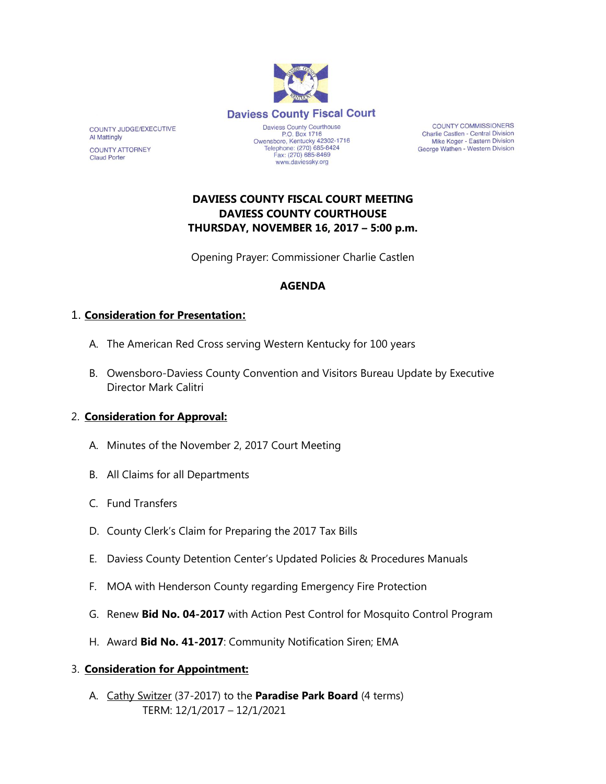

**COUNTY COMMISSIONERS** Charlie Castlen - Central Division Mike Koger - Eastern Division George Wathen - Western Division

## **DAVIESS COUNTY FISCAL COURT MEETING DAVIESS COUNTY COURTHOUSE THURSDAY, NOVEMBER 16, 2017 – 5:00 p.m.**

www.daviessky.org

Opening Prayer: Commissioner Charlie Castlen

### **AGENDA**

### 1. **Consideration for Presentation:**

COUNTY JUDGE/EXECUTIVE

**COUNTY ATTORNEY** 

**Al Mattingly** 

**Claud Porter** 

- A. The American Red Cross serving Western Kentucky for 100 years
- B. Owensboro-Daviess County Convention and Visitors Bureau Update by Executive Director Mark Calitri

### 2. **Consideration for Approval:**

- A. Minutes of the November 2, 2017 Court Meeting
- B. All Claims for all Departments
- C. Fund Transfers
- D. County Clerk's Claim for Preparing the 2017 Tax Bills
- E. Daviess County Detention Center's Updated Policies & Procedures Manuals
- F. MOA with Henderson County regarding Emergency Fire Protection
- G. Renew **Bid No. 04-2017** with Action Pest Control for Mosquito Control Program
- H. Award **Bid No. 41-2017**: Community Notification Siren; EMA

#### 3. **Consideration for Appointment:**

A. Cathy Switzer (37-2017) to the **Paradise Park Board** (4 terms) TERM: 12/1/2017 – 12/1/2021